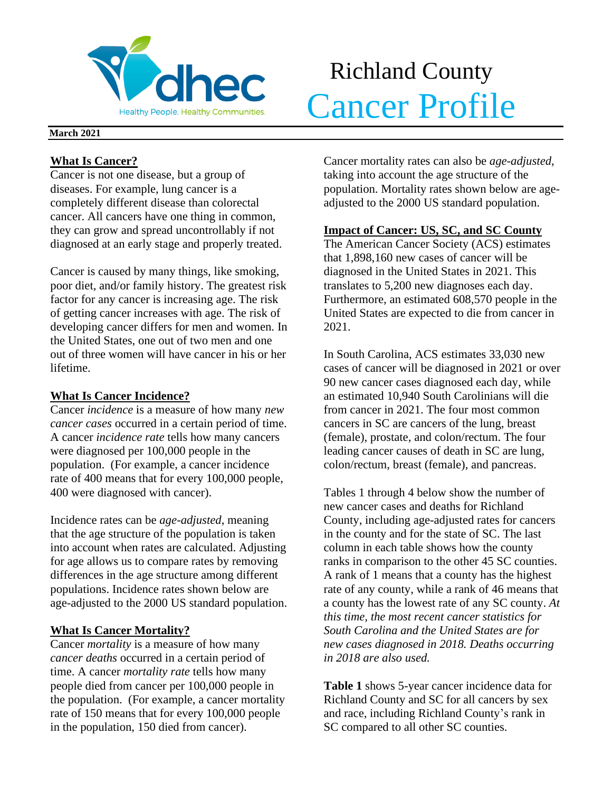

# Richland County **Velhec** Cancer Profile

### **March 2021**

## **What Is Cancer?**

Cancer is not one disease, but a group of diseases. For example, lung cancer is a completely different disease than colorectal cancer. All cancers have one thing in common, they can grow and spread uncontrollably if not diagnosed at an early stage and properly treated.

Cancer is caused by many things, like smoking, poor diet, and/or family history. The greatest risk factor for any cancer is increasing age. The risk of getting cancer increases with age. The risk of developing cancer differs for men and women. In the United States, one out of two men and one out of three women will have cancer in his or her lifetime.

## **What Is Cancer Incidence?**

Cancer *incidence* is a measure of how many *new cancer cases* occurred in a certain period of time. A cancer *incidence rate* tells how many cancers were diagnosed per 100,000 people in the population. (For example, a cancer incidence rate of 400 means that for every 100,000 people, 400 were diagnosed with cancer).

Incidence rates can be *age-adjusted*, meaning that the age structure of the population is taken into account when rates are calculated. Adjusting for age allows us to compare rates by removing differences in the age structure among different populations. Incidence rates shown below are age-adjusted to the 2000 US standard population.

## **What Is Cancer Mortality?**

Cancer *mortality* is a measure of how many *cancer deaths* occurred in a certain period of time. A cancer *mortality rate* tells how many people died from cancer per 100,000 people in the population. (For example, a cancer mortality rate of 150 means that for every 100,000 people in the population, 150 died from cancer).

Cancer mortality rates can also be *age-adjusted*, taking into account the age structure of the population. Mortality rates shown below are ageadjusted to the 2000 US standard population.

## **Impact of Cancer: US, SC, and SC County**

The American Cancer Society (ACS) estimates that 1,898,160 new cases of cancer will be diagnosed in the United States in 2021. This translates to 5,200 new diagnoses each day. Furthermore, an estimated 608,570 people in the United States are expected to die from cancer in 2021.

In South Carolina, ACS estimates 33,030 new cases of cancer will be diagnosed in 2021 or over 90 new cancer cases diagnosed each day, while an estimated 10,940 South Carolinians will die from cancer in 2021. The four most common cancers in SC are cancers of the lung, breast (female), prostate, and colon/rectum. The four leading cancer causes of death in SC are lung, colon/rectum, breast (female), and pancreas.

Tables 1 through 4 below show the number of new cancer cases and deaths for Richland County, including age-adjusted rates for cancers in the county and for the state of SC. The last column in each table shows how the county ranks in comparison to the other 45 SC counties. A rank of 1 means that a county has the highest rate of any county, while a rank of 46 means that a county has the lowest rate of any SC county. *At this time, the most recent cancer statistics for South Carolina and the United States are for new cases diagnosed in 2018. Deaths occurring in 2018 are also used.*

**Table 1** shows 5-year cancer incidence data for Richland County and SC for all cancers by sex and race, including Richland County's rank in SC compared to all other SC counties.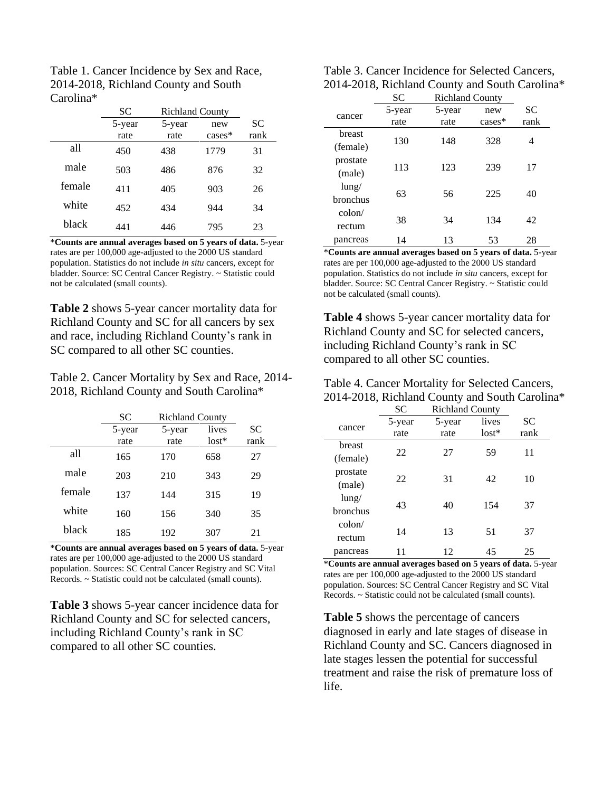| Table 1. Cancer Incidence by Sex and Race, |
|--------------------------------------------|
| 2014-2018, Richland County and South       |
| Carolina <sup>*</sup>                      |

|        | SС     | <b>Richland County</b> |           |           |
|--------|--------|------------------------|-----------|-----------|
|        | 5-year | 5-year                 | new       | <b>SC</b> |
|        | rate   | rate                   | $cases^*$ | rank      |
| all    | 450    | 438                    | 1779      | 31        |
| male   | 503    | 486                    | 876       | 32        |
| female | 411    | 405                    | 903       | 26        |
| white  | 452    | 434                    | 944       | 34        |
| black  | 441    | 446                    | 795       | 23        |

\***Counts are annual averages based on 5 years of data.** 5-year rates are per 100,000 age-adjusted to the 2000 US standard population. Statistics do not include *in situ* cancers, except for bladder. Source: SC Central Cancer Registry. ~ Statistic could not be calculated (small counts).

**Table 2** shows 5-year cancer mortality data for Richland County and SC for all cancers by sex and race, including Richland County's rank in SC compared to all other SC counties.

Table 2. Cancer Mortality by Sex and Race, 2014- 2018, Richland County and South Carolina\*

|        | <b>SC</b> | <b>Richland County</b> |         |      |
|--------|-----------|------------------------|---------|------|
|        | 5-year    | 5-year                 | lives   | SС   |
|        | rate      | rate                   | $lost*$ | rank |
| all    | 165       | 170                    | 658     | 27   |
| male   | 203       | 210                    | 343     | 29   |
| female | 137       | 144                    | 315     | 19   |
| white  | 160       | 156                    | 340     | 35   |
| black  | 185       | 192                    | 307     | 21   |

\***Counts are annual averages based on 5 years of data.** 5-year rates are per 100,000 age-adjusted to the 2000 US standard population. Sources: SC Central Cancer Registry and SC Vital Records. ~ Statistic could not be calculated (small counts).

**Table 3** shows 5-year cancer incidence data for Richland County and SC for selected cancers, including Richland County's rank in SC compared to all other SC counties.

| Table 3. Cancer Incidence for Selected Cancers, |
|-------------------------------------------------|
| 2014-2018, Richland County and South Carolina*  |

|                      | SC             | <b>Richland County</b> |                 |                   |  |
|----------------------|----------------|------------------------|-----------------|-------------------|--|
| cancer               | 5-year<br>rate | 5-year<br>rate         | new<br>$cases*$ | <b>SC</b><br>rank |  |
| breast<br>(female)   | 130            | 148                    | 328             | 4                 |  |
| prostate<br>(male)   | 113            | 123                    | 239             | 17                |  |
| $l$ ung/<br>bronchus | 63             | 56                     | 225             | 40                |  |
| colon/<br>rectum     | 38             | 34                     | 134             | 42                |  |
| pancreas             | 14             | 13                     | 53              | 28                |  |

\***Counts are annual averages based on 5 years of data.** 5-year rates are per 100,000 age-adjusted to the 2000 US standard population. Statistics do not include *in situ* cancers, except for bladder. Source: SC Central Cancer Registry. ~ Statistic could not be calculated (small counts).

**Table 4** shows 5-year cancer mortality data for Richland County and SC for selected cancers, including Richland County's rank in SC compared to all other SC counties.

| Table 4. Cancer Mortality for Selected Cancers, |
|-------------------------------------------------|
| 2014-2018, Richland County and South Carolina*  |

|                 | <b>SC</b> | <b>Richland County</b> |         |           |  |
|-----------------|-----------|------------------------|---------|-----------|--|
|                 | 5-year    | 5-year                 | lives   | <b>SC</b> |  |
| cancer          | rate      | rate                   | $lost*$ | rank      |  |
| breast          |           |                        |         |           |  |
| (female)        | 22        | 27                     | 59      | 11        |  |
| prostate        | 22        | 31                     | 42      | 10        |  |
| (male)          |           |                        |         |           |  |
| $l$ ung/        |           |                        |         |           |  |
| bronchus        | 43        | 40                     | 154     | 37        |  |
| $\text{colon}/$ |           |                        |         |           |  |
| rectum          | 14        | 13                     | 51      | 37        |  |
| pancreas        |           | 12                     | 45      | 25        |  |

\***Counts are annual averages based on 5 years of data.** 5-year rates are per 100,000 age-adjusted to the 2000 US standard population. Sources: SC Central Cancer Registry and SC Vital Records. ~ Statistic could not be calculated (small counts).

**Table 5** shows the percentage of cancers diagnosed in early and late stages of disease in Richland County and SC. Cancers diagnosed in late stages lessen the potential for successful treatment and raise the risk of premature loss of life.